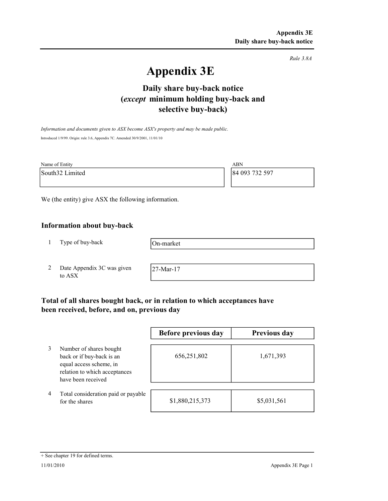Rule 3.8A

# Appendix 3E

# selective buy-back) Daily share buy-back notice (except minimum holding buy-back and

Information and documents given to ASX become ASX's property and may be made public. Introduced 1/9/99. Origin: rule 3.6, Appendix 7C. Amended 30/9/2001, 11/01/10

| Name of Entity  | ABN            |
|-----------------|----------------|
| South32 Limited | 84 093 732 597 |
|                 |                |

We (the entity) give ASX the following information.

# Information about buy-back

1 Type of buy-back

On-market

2 Date Appendix 3C was given to ASX

27-Mar-17

# Total of all shares bought back, or in relation to which acceptances have been received, before, and on, previous day

|   |                                                                                                                                        | Before previous day | Previous day |
|---|----------------------------------------------------------------------------------------------------------------------------------------|---------------------|--------------|
|   | Number of shares bought<br>back or if buy-back is an<br>equal access scheme, in<br>relation to which acceptances<br>have been received | 656,251,802         | 1,671,393    |
| 4 | Total consideration paid or payable<br>for the shares                                                                                  | \$1,880,215,373     | \$5,031,561  |

#### + See chapter 19 for defined terms.